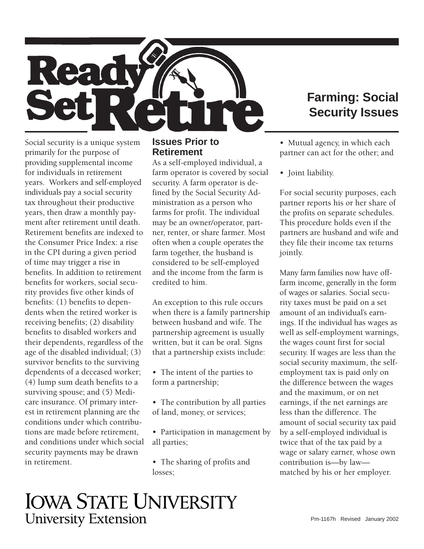

## **Farming: Social Security Issues**

Social security is a unique system primarily for the purpose of providing supplemental income for individuals in retirement years. Workers and self-employed individuals pay a social security tax throughout their productive years, then draw a monthly payment after retirement until death. Retirement benefits are indexed to the Consumer Price Index: a rise in the CPI during a given period of time may trigger a rise in benefits. In addition to retirement benefits for workers, social security provides five other kinds of benefits: (1) benefits to dependents when the retired worker is receiving benefits; (2) disability benefits to disabled workers and their dependents, regardless of the age of the disabled individual; (3) survivor benefits to the surviving dependents of a deceased worker; (4) lump sum death benefits to a surviving spouse; and (5) Medicare insurance. Of primary interest in retirement planning are the conditions under which contributions are made before retirement, and conditions under which social security payments may be drawn in retirement.

### **Issues Prior to Retirement**

As a self-employed individual, a farm operator is covered by social security. A farm operator is defined by the Social Security Administration as a person who farms for profit. The individual may be an owner/operator, partner, renter, or share farmer. Most often when a couple operates the farm together, the husband is considered to be self-employed and the income from the farm is credited to him.

An exception to this rule occurs when there is a family partnership between husband and wife. The partnership agreement is usually written, but it can be oral. Signs that a partnership exists include:

• The intent of the parties to form a partnership;

- The contribution by all parties of land, money, or services;
- Participation in management by all parties;
- The sharing of profits and losses;

• Mutual agency, in which each partner can act for the other; and

• Joint liability.

For social security purposes, each partner reports his or her share of the profits on separate schedules. This procedure holds even if the partners are husband and wife and they file their income tax returns jointly.

Many farm families now have offfarm income, generally in the form of wages or salaries. Social security taxes must be paid on a set amount of an individual's earnings. If the individual has wages as well as self-employment warnings, the wages count first for social security. If wages are less than the social security maximum, the selfemployment tax is paid only on the difference between the wages and the maximum, or on net earnings, if the net earnings are less than the difference. The amount of social security tax paid by a self-employed individual is twice that of the tax paid by a wage or salary earner, whose own contribution is—by law matched by his or her employer.

# **IOWA STATE UNIVERSITY University Extension**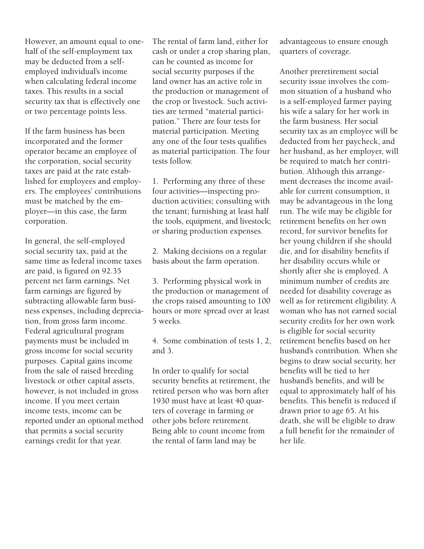However, an amount equal to onehalf of the self-employment tax may be deducted from a selfemployed individual's income when calculating federal income taxes. This results in a social security tax that is effectively one or two percentage points less.

If the farm business has been incorporated and the former operator became an employee of the corporation, social security taxes are paid at the rate established for employees and employers. The employees' contributions must be matched by the employer—in this case, the farm corporation.

In general, the self-employed social security tax, paid at the same time as federal income taxes are paid, is figured on 92.35 percent net farm earnings. Net farm earnings are figured by subtracting allowable farm business expenses, including depreciation, from gross farm income. Federal agricultural program payments must be included in gross income for social security purposes. Capital gains income from the sale of raised breeding livestock or other capital assets, however, is not included in gross income. If you meet certain income tests, income can be reported under an optional method that permits a social security earnings credit for that year.

The rental of farm land, either for cash or under a crop sharing plan, can be counted as income for social security purposes if the land owner has an active role in the production or management of the crop or livestock. Such activities are termed "material participation." There are four tests for material participation. Meeting any one of the four tests qualifies as material participation. The four tests follow.

1. Performing any three of these four activities—inspecting production activities; consulting with the tenant; furnishing at least half the tools, equipment, and livestock; or sharing production expenses.

2. Making decisions on a regular basis about the farm operation.

3. Performing physical work in the production or management of the crops raised amounting to 100 hours or more spread over at least 5 weeks.

4. Some combination of tests 1, 2, and 3.

In order to qualify for social security benefits at retirement, the retired person who was born after 1930 must have at least 40 quarters of coverage in farming or other jobs before retirement. Being able to count income from the rental of farm land may be

advantageous to ensure enough quarters of coverage.

Another preretirement social security issue involves the common situation of a husband who is a self-employed farmer paying his wife a salary for her work in the farm business. Her social security tax as an employee will be deducted from her paycheck, and her husband, as her employer, will be required to match her contribution. Although this arrangement decreases the income available for current consumption, it may be advantageous in the long run. The wife may be eligible for retirement benefits on her own record, for survivor benefits for her young children if she should die, and for disability benefits if her disability occurs while or shortly after she is employed. A minimum number of credits are needed for disability coverage as well as for retirement eligibility. A woman who has not earned social security credits for her own work is eligible for social security retirement benefits based on her husband's contribution. When she begins to draw social security, her benefits will be tied to her husband's benefits, and will be equal to approximately half of his benefits. This benefit is reduced if drawn prior to age 65. At his death, she will be eligible to draw a full benefit for the remainder of her life.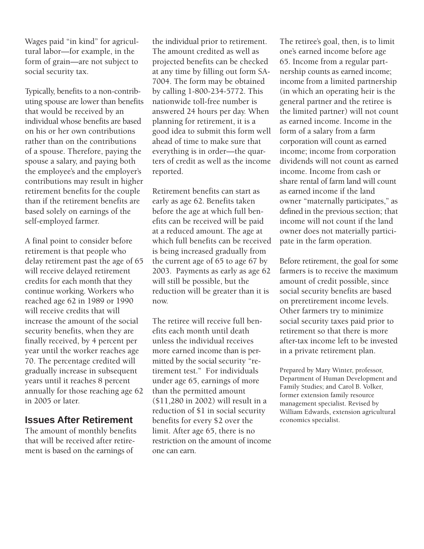Wages paid "in kind" for agricultural labor—for example, in the form of grain—are not subject to social security tax.

Typically, benefits to a non-contributing spouse are lower than benefits that would be received by an individual whose benefits are based on his or her own contributions rather than on the contributions of a spouse. Therefore, paying the spouse a salary, and paying both the employee's and the employer's contributions may result in higher retirement benefits for the couple than if the retirement benefits are based solely on earnings of the self-employed farmer.

A final point to consider before retirement is that people who delay retirement past the age of 65 will receive delayed retirement credits for each month that they continue working. Workers who reached age 62 in 1989 or 1990 will receive credits that will increase the amount of the social security benefits, when they are finally received, by 4 percent per year until the worker reaches age 70. The percentage credited will gradually increase in subsequent years until it reaches 8 percent annually for those reaching age 62 in 2005 or later.

## **Issues After Retirement**

The amount of monthly benefits that will be received after retirement is based on the earnings of

the individual prior to retirement. The amount credited as well as projected benefits can be checked at any time by filling out form SA-7004. The form may be obtained by calling 1-800-234-5772. This nationwide toll-free number is answered 24 hours per day. When planning for retirement, it is a good idea to submit this form well ahead of time to make sure that everything is in order—the quarters of credit as well as the income reported.

Retirement benefits can start as early as age 62. Benefits taken before the age at which full benefits can be received will be paid at a reduced amount. The age at which full benefits can be received is being increased gradually from the current age of 65 to age 67 by 2003. Payments as early as age 62 will still be possible, but the reduction will be greater than it is now.

The retiree will receive full benefits each month until death unless the individual receives more earned income than is permitted by the social security "retirement test." For individuals under age 65, earnings of more than the permitted amount (\$11,280 in 2002) will result in a reduction of \$1 in social security benefits for every \$2 over the limit. After age 65, there is no restriction on the amount of income one can earn.

 income from a limited partnership The retiree's goal, then, is to limit one's earned income before age 65. Income from a regular partnership counts as earned income; (in which an operating heir is the general partner and the retiree is the limited partner) will not count as earned income. Income in the form of a salary from a farm corporation will count as earned income; income from corporation dividends will not count as earned income. Income from cash or share rental of farm land will count as earned income if the land owner "maternally participates," as defined in the previous section; that income will not count if the land owner does not materially participate in the farm operation.

Before retirement, the goal for some farmers is to receive the maximum amount of credit possible, since social security benefits are based on preretirement income levels. Other farmers try to minimize social security taxes paid prior to retirement so that there is more after-tax income left to be invested in a private retirement plan.

Prepared by Mary Winter, professor, Department of Human Development and Family Studies; and Carol B. Volker, former extension family resource management specialist. Revised by William Edwards, extension agricultural economics specialist.